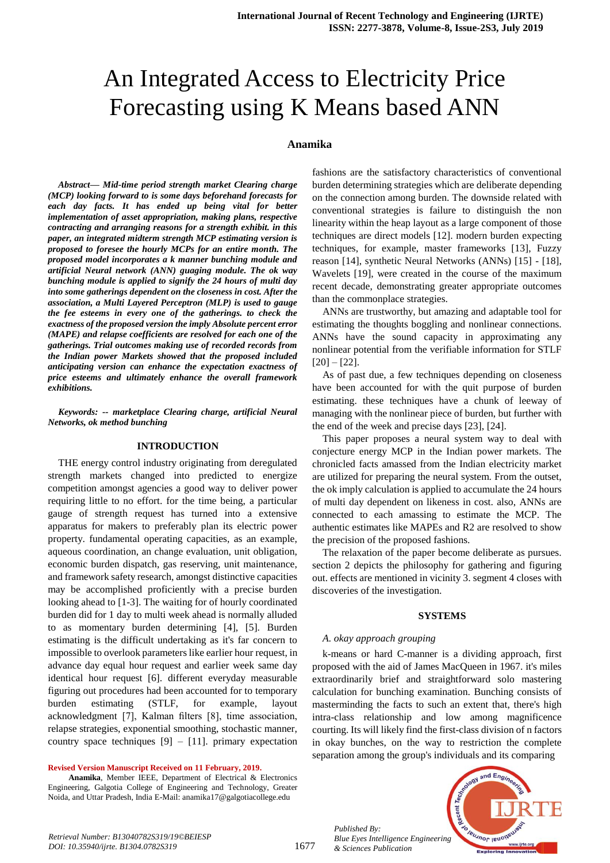# An Integrated Access to Electricity Price Forecasting using K Means based ANN

#### **Anamika**

*Abstract***—** *Mid-time period strength market Clearing charge (MCP) looking forward to is some days beforehand forecasts for each day facts. It has ended up being vital for better implementation of asset appropriation, making plans, respective contracting and arranging reasons for a strength exhibit. in this paper, an integrated midterm strength MCP estimating version is proposed to foresee the hourly MCPs for an entire month. The proposed model incorporates a k manner bunching module and artificial Neural network (ANN) guaging module. The ok way bunching module is applied to signify the 24 hours of multi day into some gatherings dependent on the closeness in cost. After the association, a Multi Layered Perceptron (MLP) is used to gauge the fee esteems in every one of the gatherings. to check the exactness of the proposed version the imply Absolute percent error (MAPE) and relapse coefficients are resolved for each one of the gatherings. Trial outcomes making use of recorded records from the Indian power Markets showed that the proposed included anticipating version can enhance the expectation exactness of price esteems and ultimately enhance the overall framework exhibitions.*

*Keywords: -- marketplace Clearing charge, artificial Neural Networks, ok method bunching*

#### **INTRODUCTION**

THE energy control industry originating from deregulated strength markets changed into predicted to energize competition amongst agencies a good way to deliver power requiring little to no effort. for the time being, a particular gauge of strength request has turned into a extensive apparatus for makers to preferably plan its electric power property. fundamental operating capacities, as an example, aqueous coordination, an change evaluation, unit obligation, economic burden dispatch, gas reserving, unit maintenance, and framework safety research, amongst distinctive capacities may be accomplished proficiently with a precise burden looking ahead to [1-3]. The waiting for of hourly coordinated burden did for 1 day to multi week ahead is normally alluded to as momentary burden determining [4], [5]. Burden estimating is the difficult undertaking as it's far concern to impossible to overlook parameters like earlier hour request, in advance day equal hour request and earlier week same day identical hour request [6]. different everyday measurable figuring out procedures had been accounted for to temporary burden estimating (STLF, for example, layout acknowledgment [7], Kalman filters [8], time association, relapse strategies, exponential smoothing, stochastic manner, country space techniques  $[9] - [11]$ . primary expectation

#### **Revised Version Manuscript Received on 11 February, 2019.**

**Anamika**, Member IEEE, Department of Electrical & Electronics Engineering, Galgotia College of Engineering and Technology, Greater Noida, and Uttar Pradesh, India E-Mail: anamika17@galgotiacollege.edu

fashions are the satisfactory characteristics of conventional burden determining strategies which are deliberate depending on the connection among burden. The downside related with conventional strategies is failure to distinguish the non linearity within the heap layout as a large component of those techniques are direct models [12]. modern burden expecting techniques, for example, master frameworks [13], Fuzzy reason [14], synthetic Neural Networks (ANNs) [15] - [18], Wavelets [19], were created in the course of the maximum recent decade, demonstrating greater appropriate outcomes than the commonplace strategies.

ANNs are trustworthy, but amazing and adaptable tool for estimating the thoughts boggling and nonlinear connections. ANNs have the sound capacity in approximating any nonlinear potential from the verifiable information for STLF  $[20] - [22]$ .

As of past due, a few techniques depending on closeness have been accounted for with the quit purpose of burden estimating. these techniques have a chunk of leeway of managing with the nonlinear piece of burden, but further with the end of the week and precise days [23], [24].

This paper proposes a neural system way to deal with conjecture energy MCP in the Indian power markets. The chronicled facts amassed from the Indian electricity market are utilized for preparing the neural system. From the outset, the ok imply calculation is applied to accumulate the 24 hours of multi day dependent on likeness in cost. also, ANNs are connected to each amassing to estimate the MCP. The authentic estimates like MAPEs and R2 are resolved to show the precision of the proposed fashions.

The relaxation of the paper become deliberate as pursues. section 2 depicts the philosophy for gathering and figuring out. effects are mentioned in vicinity 3. segment 4 closes with discoveries of the investigation.

#### **SYSTEMS**

#### *A. okay approach grouping*

k-means or hard C-manner is a dividing approach, first proposed with the aid of James MacQueen in 1967. it's miles extraordinarily brief and straightforward solo mastering calculation for bunching examination. Bunching consists of masterminding the facts to such an extent that, there's high intra-class relationship and low among magnificence courting. Its will likely find the first-class division of n factors in okay bunches, on the way to restriction the complete separation among the group's individuals and its comparing



*Published By:*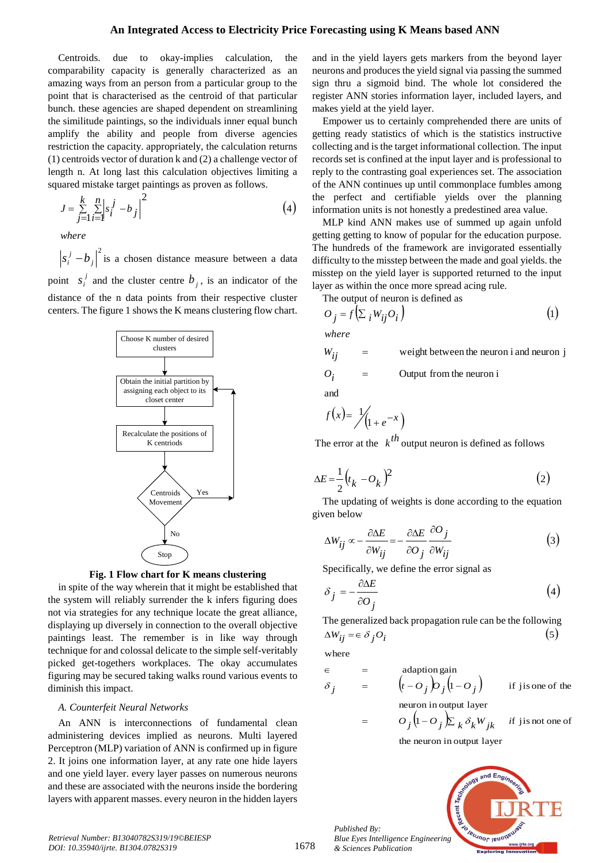### **An Integrated Access to Electricity Price Forecasting using K Means based ANN**

Centroids. due to okay-implies calculation, the comparability capacity is generally characterized as an amazing ways from an person from a particular group to the point that is characterised as the centroid of that particular bunch. these agencies are shaped dependent on streamlining the similitude paintings, so the individuals inner equal bunch amplify the ability and people from diverse agencies restriction the capacity. appropriately, the calculation returns (1) centroids vector of duration k and (2) a challenge vector of length n. At long last this calculation objectives limiting a squared mistake target paintings as proven as follows.

$$
J = \sum_{j=1}^{k} \sum_{i=1}^{n} \left| s_i^j - b_j \right|^2 \tag{4}
$$

*where*

2 *j*  $s_i^j - b_j^j$  is a chosen distance measure between a data point  $s_i^j$  $s_i^j$  and the cluster centre  $b_j$ , is an indicator of the distance of the n data points from their respective cluster centers. The figure 1 shows the K means clustering flow chart.





in spite of the way wherein that it might be established that the system will reliably surrender the k infers figuring does not via strategies for any technique locate the great alliance, displaying up diversely in connection to the overall objective paintings least. The remember is in like way through technique for and colossal delicate to the simple self-veritably picked get-togethers workplaces. The okay accumulates figuring may be secured taking walks round various events to diminish this impact.

#### *A. Counterfeit Neural Networks*

An ANN is interconnections of fundamental clean administering devices implied as neurons. Multi layered Perceptron (MLP) variation of ANN is confirmed up in figure 2. It joins one information layer, at any rate one hide layers and one yield layer. every layer passes on numerous neurons and these are associated with the neurons inside the bordering layers with apparent masses. every neuron in the hidden layers

and in the yield layers gets markers from the beyond layer neurons and produces the yield signal via passing the summed sign thru a sigmoid bind. The whole lot considered the register ANN stories information layer, included layers, and makes yield at the yield layer.

Empower us to certainly comprehended there are units of getting ready statistics of which is the statistics instructive collecting and is the target informational collection. The input records set is confined at the input layer and is professional to reply to the contrasting goal experiences set. The association of the ANN continues up until commonplace fumbles among the perfect and certifiable yields over the planning information units is not honestly a predestined area value.

MLP kind ANN makes use of summed up again unfold getting getting to know of popular for the education purpose. The hundreds of the framework are invigorated essentially difficulty to the misstep between the made and goal yields. the misstep on the yield layer is supported returned to the input layer as within the once more spread acing rule.

The output of neuron is defined as

$$
O_j = f\left(\sum_i W_{ij} O_i\right) \tag{1}
$$

*where*

$$
W_{ij} = \text{weight between the neuron i and neuron j}
$$
  

$$
O_i = \text{Output from the neuron i}
$$

and

$$
f(x) = \frac{1}{\sqrt{1 + e^{-x}}}
$$

The error at the  $k^{th}$  output neuron is defined as follows

$$
\Delta E = \frac{1}{2} \left( t_k - O_k \right)^2 \tag{2}
$$

The updating of weights is done according to the equation given below

$$
\Delta W_{ij} \propto -\frac{\partial \Delta E}{\partial W_{ij}} = -\frac{\partial \Delta E}{\partial O_j} \frac{\partial O_j}{\partial W_{ij}} \tag{3}
$$

Specifically, we define the error signal as

$$
\delta_j = -\frac{\partial \Delta E}{\partial O_j} \tag{4}
$$

The generalized back propagation rule can be the following  $(5)$  $\Delta W_{ij} = \epsilon \delta_j O_i$ 

where

*Published By:*

*& Sciences Publication* 

$$
\epsilon = \text{adaption gain}
$$
\n
$$
\delta_j = \left( t - O_j \right) O_j \left( 1 - O_j \right) \text{ if } j \text{ is one of the}
$$
\n
$$
\epsilon = \left( t - O_j \right) O_j \left( 1 - O_j \right) \text{ if } j \text{ is one of the}
$$
\n
$$
= O_j \left( 1 - O_j \right) \sum_k \delta_k W_{jk} \text{ if } j \text{ is not one of}
$$

the neuron in output layer

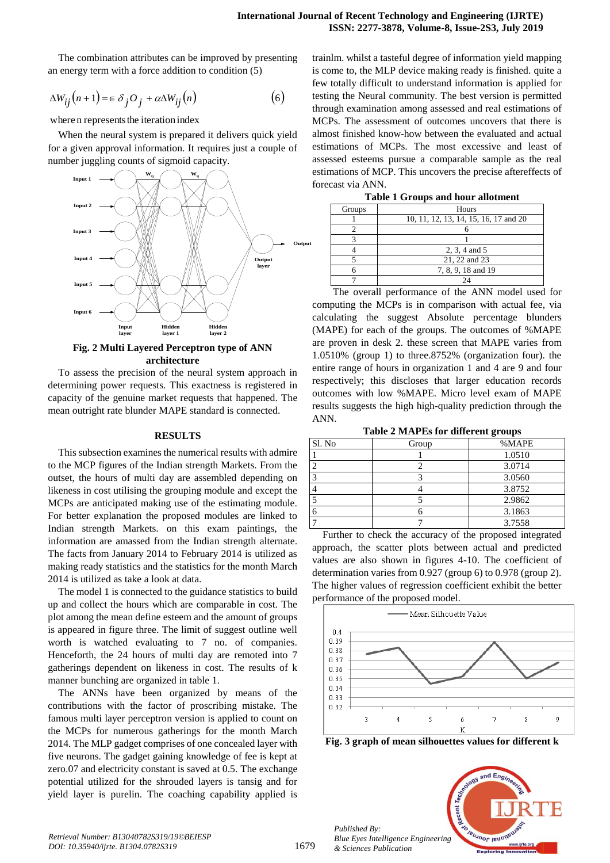The combination attributes can be improved by presenting an energy term with a force addition to condition (5)

$$
\Delta W_{ij}(n+1) = \epsilon \delta_j O_j + \alpha \Delta W_{ij}(n) \tag{6}
$$

where n represents the iteration index

When the neural system is prepared it delivers quick yield for a given approval information. It requires just a couple of number juggling counts of sigmoid capacity.



## **Fig. 2 Multi Layered Perceptron type of ANN architecture**

To assess the precision of the neural system approach in determining power requests. This exactness is registered in capacity of the genuine market requests that happened. The mean outright rate blunder MAPE standard is connected.

#### **RESULTS**

This subsection examines the numerical results with admire to the MCP figures of the Indian strength Markets. From the outset, the hours of multi day are assembled depending on likeness in cost utilising the grouping module and except the MCPs are anticipated making use of the estimating module. For better explanation the proposed modules are linked to Indian strength Markets. on this exam paintings, the information are amassed from the Indian strength alternate. The facts from January 2014 to February 2014 is utilized as making ready statistics and the statistics for the month March 2014 is utilized as take a look at data.

The model 1 is connected to the guidance statistics to build up and collect the hours which are comparable in cost. The plot among the mean define esteem and the amount of groups is appeared in figure three. The limit of suggest outline well worth is watched evaluating to 7 no. of companies. Henceforth, the 24 hours of multi day are remoted into 7 gatherings dependent on likeness in cost. The results of k manner bunching are organized in table 1.

The ANNs have been organized by means of the contributions with the factor of proscribing mistake. The famous multi layer perceptron version is applied to count on the MCPs for numerous gatherings for the month March 2014. The MLP gadget comprises of one concealed layer with five neurons. The gadget gaining knowledge of fee is kept at zero.07 and electricity constant is saved at 0.5. The exchange potential utilized for the shrouded layers is tansig and for yield layer is purelin. The coaching capability applied is

trainlm. whilst a tasteful degree of information yield mapping is come to, the MLP device making ready is finished. quite a few totally difficult to understand information is applied for testing the Neural community. The best version is permitted through examination among assessed and real estimations of MCPs. The assessment of outcomes uncovers that there is almost finished know-how between the evaluated and actual estimations of MCPs. The most excessive and least of assessed esteems pursue a comparable sample as the real estimations of MCP. This uncovers the precise aftereffects of forecast via ANN.

| <b>Table 1 Groups and hour allotment</b> |
|------------------------------------------|
|------------------------------------------|

| Groups | Hours                                 |  |
|--------|---------------------------------------|--|
|        | 10, 11, 12, 13, 14, 15, 16, 17 and 20 |  |
|        |                                       |  |
|        |                                       |  |
|        | 2, 3, 4 and 5                         |  |
|        | 21, 22 and 23                         |  |
|        | 7, 8, 9, 18 and 19                    |  |
|        |                                       |  |

The overall performance of the ANN model used for computing the MCPs is in comparison with actual fee, via calculating the suggest Absolute percentage blunders (MAPE) for each of the groups. The outcomes of %MAPE are proven in desk 2. these screen that MAPE varies from 1.0510% (group 1) to three.8752% (organization four). the entire range of hours in organization 1 and 4 are 9 and four respectively; this discloses that larger education records outcomes with low %MAPE. Micro level exam of MAPE results suggests the high high-quality prediction through the ANN.

**Table 2 MAPEs for different groups**

|        |       | ັ      |
|--------|-------|--------|
| Sl. No | Group | %MAPE  |
|        |       | 1.0510 |
|        |       | 3.0714 |
|        |       | 3.0560 |
|        |       | 3.8752 |
|        |       | 2.9862 |
|        |       | 3.1863 |
|        |       | 3.7558 |

Further to check the accuracy of the proposed integrated approach, the scatter plots between actual and predicted values are also shown in figures 4-10. The coefficient of determination varies from 0.927 (group 6) to 0.978 (group 2). The higher values of regression coefficient exhibit the better performance of the proposed model.



**Fig. 3 graph of mean silhouettes values for different k**



*Published By:*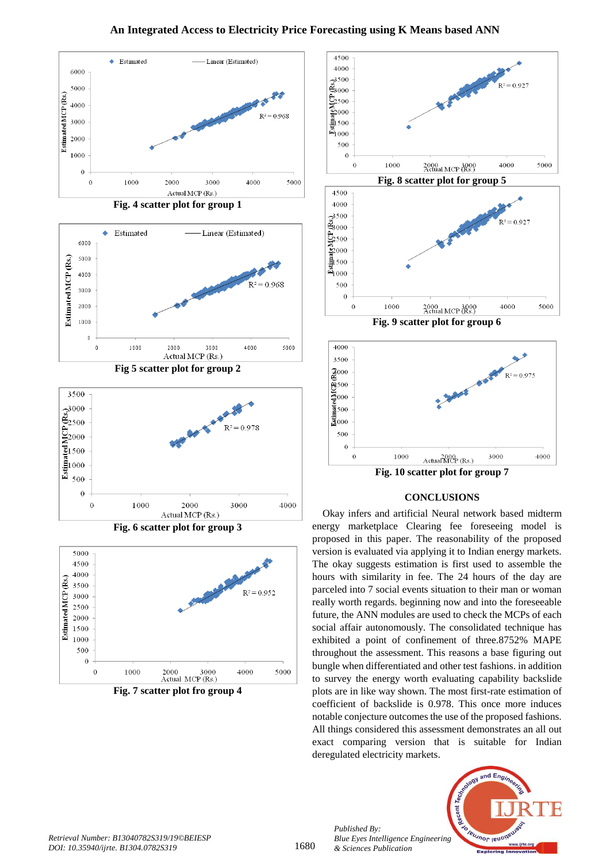# **An Integrated Access to Electricity Price Forecasting using K Means based ANN**



**Fig. 4 scatter plot for group 1**





**Fig. 6 scatter plot for group 3**



**Fig. 7 scatter plot fro group 4**



#### **CONCLUSIONS**

Okay infers and artificial Neural network based midterm energy marketplace Clearing fee foreseeing model is proposed in this paper. The reasonability of the proposed version is evaluated via applying it to Indian energy markets. The okay suggests estimation is first used to assemble the hours with similarity in fee. The 24 hours of the day are parceled into 7 social events situation to their man or woman really worth regards. beginning now and into the foreseeable future, the ANN modules are used to check the MCPs of each social affair autonomously. The consolidated technique has exhibited a point of confinement of three.8752% MAPE throughout the assessment. This reasons a base figuring out bungle when differentiated and other test fashions. in addition to survey the energy worth evaluating capability backslide plots are in like way shown. The most first-rate estimation of coefficient of backslide is 0.978. This once more induces notable conjecture outcomes the use of the proposed fashions. All things considered this assessment demonstrates an all out exact comparing version that is suitable for Indian deregulated electricity markets.



*Published By:*